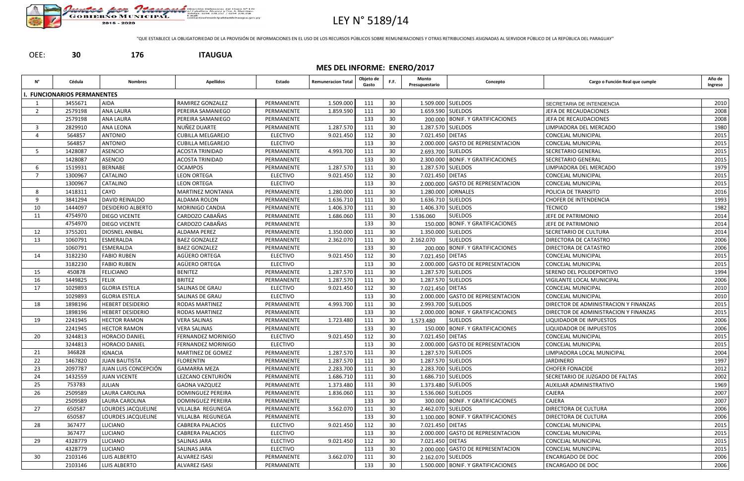

## LEY N° 5189/14

"QUE ESTABLECE LA OBLIGATORIEDAD DE LA PROVISIÓN DE INFORMACIONES EN EL USO DE LOS RECURSOS PÚBLICOS SOBRE REMUNERACIONES Y OTRAS RETRIBUCIONES ASIGNADAS AL SERVIDOR PÚBLICO DE LA REPÚBLICA DEL PARAGUAY"



**MES DEL INFORME: ENERO/2017**

| N°             | Cédula                     | <b>Nombres</b>           | <b>Apellidos</b>         | Estado          | Remuneracion Total | Objeto de<br>Gasto | F.F.            | Monto<br>Presupuestario | Concepto                             | Cargo o Función Real que cumple       | Año de<br>Ingreso |
|----------------|----------------------------|--------------------------|--------------------------|-----------------|--------------------|--------------------|-----------------|-------------------------|--------------------------------------|---------------------------------------|-------------------|
|                | . FUNCIONARIOS PERMANENTES |                          |                          |                 |                    |                    |                 |                         |                                      |                                       |                   |
|                | 3455671                    | <b>AIDA</b>              | RAMIREZ GONZALEZ         | PERMANENTE      | 1.509.000          | 111                | 30              | 1.509.000 SUELDOS       |                                      | SECRETARIA DE INTENDENCIA             | 2010              |
| -2             | 2579198                    | <b>ANA LAURA</b>         | PEREIRA SAMANIEGO        | PERMANENTE      | 1.859.590          | 111                | 30              |                         | 1.659.590 SUELDOS                    | JEFA DE RECAUDACIONES                 | 2008              |
|                | 2579198                    | <b>ANA LAURA</b>         | PEREIRA SAMANIEGO        | PERMANENTE      |                    | 133                | 30              |                         | 200.000   BONIF. Y GRATIFICACIONES   | JEFA DE RECAUDACIONES                 | 2008              |
| -3             | 2829910                    | ANA LEONA                | NUÑEZ DUARTE             | PERMANENTE      | 1.287.570          | 111                | 30              | 1.287.570 SUELDOS       |                                      | LIMPIADORA DEL MERCADO                | 1980              |
|                | 564857                     | ANTONIO                  | <b>CUBILLA MELGAREJO</b> | <b>ELECTIVO</b> | 9.021.450          | 112                | 30              | 7.021.450 DIETAS        |                                      | <b>CONCEJAL MUNICIPAL</b>             | 2015              |
|                | 564857                     | <b>ANTONIO</b>           | <b>CUBILLA MELGAREJO</b> | <b>ELECTIVO</b> |                    | 113                | 30              |                         | 2.000.000 GASTO DE REPRESENTACION    | <b>CONCEJAL MUNICIPAL</b>             | 2015              |
|                | 1428087                    | <b>ASENCIO</b>           | ACOSTA TRINIDAD          | PERMANENTE      | 4.993.700          | 111                | 30              |                         | 2.693.700 SUELDOS                    | SECRETARIO GENERAL                    | 2015              |
|                | 1428087                    | <b>ASENCIO</b>           | <b>ACOSTA TRINIDAD</b>   | PERMANENTE      |                    | 133                | 30              |                         | 2.300.000 BONIF. Y GRATIFICACIONES   | <b>SECRETARIO GENERAL</b>             | 2015              |
| 6              | 1519931                    | <b>BERNABE</b>           | <b>OCAMPOS</b>           | PERMANENTE      | 1.287.570          | 111                | 30              | 1.287.570 SUELDOS       |                                      | LIMPIADORA DEL MERCADO                | 1979              |
| $\overline{7}$ | 1300967                    | CATALINO                 | <b>LEON ORTEGA</b>       | <b>ELECTIVO</b> | 9.021.450          | 112                | 30              | 7.021.450 DIETAS        |                                      | <b>CONCEJAL MUNICIPAL</b>             | 2015              |
|                | 1300967                    | <b>CATALINO</b>          | <b>LEON ORTEGA</b>       | <b>ELECTIVO</b> |                    | 113                | 30              |                         | 2.000.000 GASTO DE REPRESENTACION    | <b>CONCEJAL MUNICIPAL</b>             | 2015              |
| -8             | 1418311                    | CAYO                     | <b>MARTINEZ MONTANIA</b> | PERMANENTE      | 1.280.000          | 111                | 30              |                         | 1.280.000 JORNALES                   | POLICIA DE TRANSITO                   | 2016              |
| q              | 3841294                    | DAVID REINALDO           | ALDAMA ROLON             | PERMANENTE      | 1.636.710          | 111                | 30              | 1.636.710 SUELDOS       |                                      | <b>CHOFER DE INTENDENCIA</b>          | 1993              |
| 10             | 1444097                    | <b>DESIDERIO ALBERTO</b> | MORINIGO CANDIA          | PERMANENTE      | 1.406.370          | 111                | 30              | 1.406.370 SUELDOS       |                                      | TECNICO                               | 1982              |
| 11             | 4754970                    | <b>DIEGO VICENTE</b>     | CARDOZO CABAÑAS          | PERMANENTE      | 1.686.060          | 111                | 30              | 1.536.060               | <b>SUELDOS</b>                       | JEFE DE PATRIMONIO                    | 2014              |
|                | 4754970                    | <b>DIEGO VICENTE</b>     | CARDOZO CABAÑAS          | PERMANENTE      |                    | 133                | 30              |                         | 150.000 BONIF. Y GRATIFICACIONES     | JEFE DE PATRIMONIO                    | 2014              |
| 12             | 3755201                    | <b>DIOSNEL ANIBAL</b>    | ALDAMA PEREZ             | PERMANENTE      | 1.350.000          | 111                | 30              |                         | 1.350.000 SUELDOS                    | SECRETARIO DE CULTURA                 | 2014              |
| 13             | 1060791                    | ESMERALDA                | <b>BAEZ GONZALEZ</b>     | PERMANENTE      | 2.362.070          | 111                | 30              | 2.162.070               | <b>SUELDOS</b>                       | DIRECTORA DE CATASTRO                 | 2006              |
|                | 1060791                    | ESMERALDA                | <b>BAEZ GONZALEZ</b>     | PERMANENTE      |                    | 133                | 30              |                         | 200.000   BONIF. Y GRATIFICACIONES   | DIRECTORA DE CATASTRO                 | 2006              |
| 14             | 3182230                    | <b>FABIO RUBEN</b>       | AGÜERO ORTEGA            | <b>ELECTIVO</b> | 9.021.450          | 112                | 30              | 7.021.450 DIETAS        |                                      | <b>CONCEJAL MUNICIPAL</b>             | 2015              |
|                | 3182230                    | <b>FABIO RUBEN</b>       | AGÜERO ORTEGA            | <b>ELECTIVO</b> |                    | 113                | 30              |                         | 2.000.000 GASTO DE REPRESENTACION    | <b>CONCEJAL MUNICIPAL</b>             | 2015              |
| 15             | 450878                     | FELICIANO                | <b>BENITEZ</b>           | PERMANENTE      | 1.287.570          | 111                | 30              | 1.287.570 SUELDOS       |                                      | SERENO DEL POLIDEPORTIVO              | 1994              |
| 16             | 1449825                    | <b>FELIX</b>             | <b>BRITEZ</b>            | PERMANENTE      | 1.287.570          | 111                | 30              | 1.287.570 SUELDOS       |                                      | VIGILANTE LOCAL MUNICIPAL             | 2006              |
| 17             | 1029893                    | <b>GLORIA ESTELA</b>     | SALINAS DE GRAU          | <b>ELECTIVO</b> | 9.021.450          | 112                | 30              | 7.021.450   DIETAS      |                                      | <b>CONCEJAL MUNICIPAL</b>             | 2010              |
|                | 1029893                    | <b>GLORIA ESTELA</b>     | SALINAS DE GRAU          | <b>ELECTIVO</b> |                    | 113                | 30              |                         | 2.000.000 GASTO DE REPRESENTACION    | <b>CONCEJAL MUNICIPAL</b>             | 2010              |
| 18             | 1898196                    | <b>HEBERT DESIDERIO</b>  | <b>RODAS MARTINEZ</b>    | PERMANENTE      | 4.993.700          | 111                | 30              | 2.993.700 SUELDOS       |                                      | DIRECTOR DE ADMINISTRACION Y FINANZAS | 2015              |
|                | 1898196                    | <b>HEBERT DESIDERIO</b>  | <b>RODAS MARTINEZ</b>    | PERMANENTE      |                    | 133                | 30              |                         | 2.000.000   BONIF. Y GRATIFICACIONES | DIRECTOR DE ADMINISTRACION Y FINANZAS | 2015              |
| 19             | 2241945                    | <b>HECTOR RAMON</b>      | <b>VERA SALINAS</b>      | PERMANENTE      | 1.723.480          | 111                | 30              | 1.573.480               | <b>SUELDOS</b>                       | LIQUIDADOR DE IMPUESTOS               | 2006              |
|                | 2241945                    | <b>HECTOR RAMON</b>      | <b>VERA SALINAS</b>      | PERMANENTE      |                    | 133                | 30              |                         | 150.000 BONIF. Y GRATIFICACIONES     | LIQUIDADOR DE IMPUESTOS               | 2006              |
| 20             | 3244813                    | HORACIO DANIEL           | FERNANDEZ MORINIGO       | <b>ELECTIVO</b> | 9.021.450          | 112                | 30              | 7.021.450 DIETAS        |                                      | <b>CONCEJAL MUNICIPAL</b>             | 2015              |
|                | 3244813                    | <b>HORACIO DANIEL</b>    | FERNANDEZ MORINIGO       | <b>ELECTIVO</b> |                    | 113                | 30 <sup>°</sup> |                         | 2.000.000 GASTO DE REPRESENTACION    | CONCEJAL MUNICIPAL                    | 2015              |
| 21             | 346828                     | IGNACIA                  | MARTINEZ DE GOMEZ        | PERMANENTE      | 1.287.570          | 111                | 30 <sup>°</sup> | 1.287.570 SUELDOS       |                                      | LIMPIADORA LOCAL MUNICIPAL            | 2004              |
| 22             | 1467820                    | <b>JUAN BAUTISTA</b>     | <b>FLORENTIN</b>         | PERMANENTE      | 1.287.570          | 111                | 30              | 1.287.570 SUELDOS       |                                      | JARDINERO                             | 1997              |
| 23             | 2097787                    | JUAN LUIS CONCEPCIÓN     | <b>GAMARRA MEZA</b>      | PERMANENTE      | 2.283.700          | 111                | 30              | 2.283.700 SUELDOS       |                                      | <b>CHOFER FONACIDE</b>                | 2012              |
| 24             | 1432559                    | <b>JUAN VICENTE</b>      | LEZCANO CENTURIÓN        | PERMANENTE      | 1.686.710          | 111                | 30              | 1.686.710 SUELDOS       |                                      | SECRETARIO DE JUZGADO DE FALTAS       | 2002              |
| -25            | 753783                     | <b>JULIAN</b>            | <b>GAONA VAZQUEZ</b>     | PERMANENTE      | 1.373.480          | 111                | 30              |                         | 1.373.480 SUELDOS                    | AUXILIAR ADMINISTRATIVO               | 1969              |
| 26             | 2509589                    | <b>LAURA CAROLINA</b>    | <b>DOMINGUEZ PEREIRA</b> | PERMANENTE      | 1.836.060          | 111                | 30              |                         | 1.536.060 SUELDOS                    | <b>CAJERA</b>                         | 2007              |
|                | 2509589                    | LAURA CAROLINA           | <b>DOMINGUEZ PEREIRA</b> | PERMANENTE      |                    | 133                | 30              |                         | 300.000 BONIF. Y GRATIFICACIONES     | CAJERA                                | 2007              |
| 27             | 650587                     | LOURDES JACQUELINE       | VILLALBA REGUNEGA        | PERMANENTE      | 3.562.070          | 111                | 30              | 2.462.070 SUELDOS       |                                      | DIRECTORA DE CULTURA                  | 2006              |
|                | 650587                     | LOURDES JACQUELINE       | VILLALBA REGUNEGA        | PERMANENTE      |                    | 133                | 30 <sup>°</sup> |                         | 1.100.000 BONIF. Y GRATIFICACIONES   | DIRECTORA DE CULTURA                  | 2006              |
| 28             | 367477                     | LUCIANO                  | <b>CABRERA PALACIOS</b>  | <b>ELECTIVO</b> | 9.021.450          | 112                | 30              | 7.021.450 DIETAS        |                                      | <b>CONCEJAL MUNICIPAL</b>             | 2015              |
|                | 367477                     | LUCIANO                  | <b>CABRERA PALACIOS</b>  | <b>ELECTIVO</b> |                    | 113                | 30              |                         | 2.000.000 GASTO DE REPRESENTACION    | CONCEJAL MUNICIPAL                    | 2015              |
| -29            | 4328779                    | LUCIANO                  | <b>SALINAS JARA</b>      | <b>ELECTIVO</b> | 9.021.450          | 112                | 30              | 7.021.450 DIETAS        |                                      | CONCEJAL MUNICIPAL                    | 2015              |
|                | 4328779                    | LUCIANO                  | <b>SALINAS JARA</b>      | <b>ELECTIVO</b> |                    | 113                | 30              |                         | 2.000.000 GASTO DE REPRESENTACION    | <b>CONCEJAL MUNICIPAL</b>             | 2015              |
| 30             | 2103146                    | LUIS ALBERTO             | ALVAREZ ISASI            | PERMANENTE      | 3.662.070          | 111                | 30              |                         | 2.162.070 SUELDOS                    | <b>ENCARGADO DE DOC</b>               | 2006              |
|                | 2103146                    | LUIS ALBERTO             | <b>ALVAREZ ISASI</b>     | PERMANENTE      |                    | 133                | 30              |                         | 1.500.000 BONIF. Y GRATIFICACIONES   | <b>ENCARGADO DE DOC</b>               | 2006              |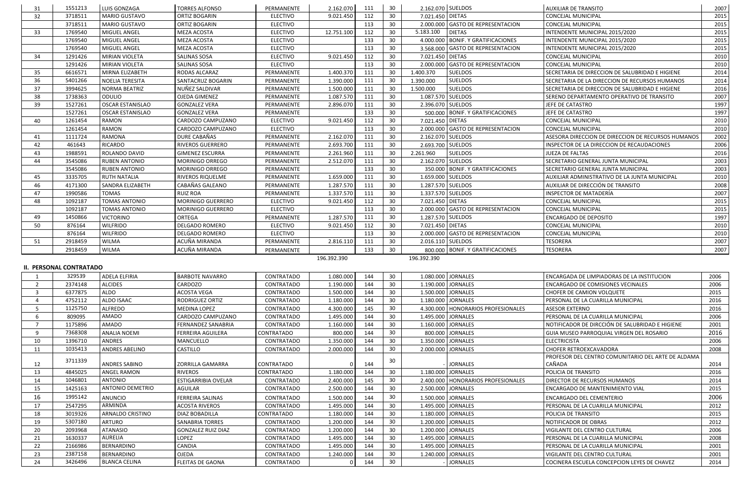| 31             | 1551213                        | LUIS GONZAGA                        | <b>TORRES ALFONSO</b>     | PERMANENTE                    | 2.162.070              | 111        | 30              |                    | 2.162.070 SUELDOS                    | <b>AUXILIAR DE TRANSITO</b>                        | 2007         |
|----------------|--------------------------------|-------------------------------------|---------------------------|-------------------------------|------------------------|------------|-----------------|--------------------|--------------------------------------|----------------------------------------------------|--------------|
| 32             | 3718511                        | <b>MARIO GUSTAVO</b>                | <b>ORTIZ BOGARIN</b>      | <b>ELECTIVO</b>               | 9.021.450              | 112        | 30              | 7.021.450   DIETAS |                                      | <b>CONCEJAL MUNICIPAL</b>                          | 2015         |
|                | 3718511                        | <b>MARIO GUSTAVO</b>                | <b>ORTIZ BOGARIN</b>      | <b>ELECTIVO</b>               |                        | 113        | 30              |                    | 2.000.000 GASTO DE REPRESENTACION    | <b>CONCEJAL MUNICIPAL</b>                          | 2015         |
| 33             | 1769540                        | MIGUEL ANGEL                        | MEZA ACOSTA               | <b>ELECTIVO</b>               | 12.751.100             | 112        | 30              | 5.183.100          | <b>DIETAS</b>                        | INTENDENTE MUNICIPAL 2015/2020                     | 2015         |
|                | 1769540                        | MIGUEL ANGEL                        | <b>MEZA ACOSTA</b>        | <b>ELECTIVO</b>               |                        | 133        | 30              |                    | 4.000.000 BONIF. Y GRATIFICACIONES   | INTENDENTE MUNICIPAL 2015/2020                     | 2015         |
|                | 1769540                        | MIGUEL ANGEL                        | MEZA ACOSTA               | <b>ELECTIVO</b>               |                        | 113        | 30              |                    | 3.568.000 GASTO DE REPRESENTACION    | INTENDENTE MUNICIPAL 2015/2020                     | 2015         |
| 34             | 1291426                        | MIRIAN VIOLETA                      | <b>SALINAS SOSA</b>       | <b>ELECTIVO</b>               | 9.021.450              | 112        | 30              | 7.021.450 DIETAS   |                                      | CONCEJAL MUNICIPAL                                 | 2010         |
|                | 1291426                        | MIRIAN VIOLETA                      | <b>SALINAS SOSA</b>       | <b>ELECTIVO</b>               |                        | 113        | 30              |                    | 2.000.000 GASTO DE REPRESENTACION    | <b>CONCEJAL MUNICIPAL</b>                          | 2010         |
| 35             | 6616571                        | MIRNA ELIZABETH                     | RODAS ALCARAZ             | PERMANENTE                    | 1.400.370              | 111        | 30              | 1.400.370          | <b>SUELDOS</b>                       | SECRETARIA DE DIRECCION DE SALUBRIDAD E HIGIENE    | 2014         |
| 36             | 5401266                        | NOELIA TERESITA                     | SANTACRUZ BOGARIN         | PERMANENTE                    | 1.390.000              | 111        | 30              | 1.390.000          | <b>SUELDOS</b>                       | SECRETARIA DE LA DIRECCION DE RECURSOS HUMANOS     | 2014         |
| 37             | 3994625                        | <b>NORMA BEATRIZ</b>                | NUÑEZ SALDIVAR            | PERMANENTE                    | 1.500.000              | 111        | 30              | 1.500.000          | <b>SUELDOS</b>                       | SECRETARIA DE DIRECCION DE SALUBRIDAD E HIGIENE    | 2016         |
| 38             | 1738363                        | ODULIO                              | OJEDA GIMENEZ             | PERMANENTE                    | 1.087.570              | 111        | 30              |                    | 1.087.570 SUELDOS                    | SERENO DEPARTAMENTO OPERATIVO DE TRANSITO          | 2007         |
| 39             | 1527261                        | <b>OSCAR ESTANISLAO</b>             | <b>GONZALEZ VERA</b>      | PERMANENTE                    | 2.896.070              | 111        | 30              |                    | 2.396.070 SUELDOS                    | JEFE DE CATASTRO                                   | 1997         |
|                | 1527261                        | <b>OSCAR ESTANISLAO</b>             | <b>GONZALEZ VERA</b>      | PERMANENTE                    |                        | 133        | 30              |                    | 500.000   BONIF. Y GRATIFICACIONES   | JEFE DE CATASTRO                                   | 1997         |
| 40             | 1261454                        | <b>RAMON</b>                        | CARDOZO CAMPUZANO         | <b>ELECTIVO</b>               | 9.021.450              | 112        | 30              | 7.021.450 DIETAS   |                                      | <b>CONCEJAL MUNICIPAL</b>                          | 2010         |
|                | 1261454                        | <b>RAMON</b>                        | CARDOZO CAMPUZANO         | <b>ELECTIVO</b>               |                        | 113        | 30              |                    | 2.000.000 GASTO DE REPRESENTACION    | <b>CONCEJAL MUNICIPAL</b>                          | 2010         |
| 41             | 1111724                        | RAMONA                              | DURE CABAÑAS              | PERMANENTE                    | 2.162.070              | 111        | 30              |                    | 2.162.070 SUELDOS                    | ASESORA DIRECCION DE DIRECCION DE RECURSOS HUMANOS | 2002         |
| 42             | 461643                         | <b>RICARDO</b>                      | <b>RIVEROS GUERRERO</b>   | PERMANENTE                    | 2.693.700              | 111        | 30              |                    | 2.693.700 SUELDOS                    | INSPECTOR DE LA DIRECCION DE RECAUDACIONES         | 2006         |
| 43             | 1988591                        | ROLANDO DAVID                       | <b>GIMENEZ ESCURRA</b>    | PERMANENTE                    | 2.261.960              | 111        | 30              | 2.261.960          | <b>SUELDOS</b>                       | JUEZA DE FALTAS                                    | 2016         |
| 44             | 3545086                        | <b>RUBEN ANTONIO</b>                | MORINIGO ORREGO           | PERMANENTE                    | 2.512.070              | 111        | 30              |                    | 2.162.070 SUELDOS                    | SECRETARIO GENERAL JUNTA MUNICIPAL                 | 2003         |
|                | 3545086                        | <b>RUBEN ANTONIO</b>                | <b>MORINIGO ORREGO</b>    | PERMANENTE                    |                        | 133        | 30              |                    | 350.000 BONIF. Y GRATIFICACIONES     | SECRETARIO GENERAL JUNTA MUNICIPAL                 | 2003         |
| 45             | 3335705                        | <b>RUTH NATALIA</b>                 | RIVEROS RIQUELME          | PERMANENTE                    | 1.659.000              | 111        | 30              |                    | 1.659.000 SUELDOS                    | AUXILIAR ADMINISTRATIVO DE LA JUNTA MUNICIPAL      | 2010         |
| 46             | 4171300                        | SANDRA ELIZABETH                    | CABAÑAS GALEANO           | PERMANENTE                    | 1.287.570              | 111        | 30              |                    | 1.287.570 SUELDOS                    | AUXILIAR DE DIRECCIÓN DE TRANSITO                  | 2008         |
| 47             | 1990586                        | TOMAS                               | <b>RUIZ ROA</b>           | PERMANENTE                    | 1.337.570              | 111        | 30              |                    | 1.337.570 SUELDOS                    | <b>INSPECTOR DE MATADERÍA</b>                      | 2007         |
| 48             | 1092187                        | <b>TOMAS ANTONIO</b>                | MORINIGO GUERRERO         | <b>ELECTIVO</b>               | 9.021.450              | 112        | 30              | 7.021.450 DIETAS   |                                      | <b>CONCEJAL MUNICIPAL</b>                          | 2015         |
|                | 1092187                        | <b>TOMAS ANTONIO</b>                | MORINIGO GUERRERO         | <b>ELECTIVO</b>               |                        | 113        | 30              |                    | 2.000.000 GASTO DE REPRESENTACION    | <b>CONCEJAL MUNICIPAL</b>                          | 2015         |
| 49             | 1450866                        |                                     |                           |                               |                        | 111        | 30              |                    | 1.287.570 SUELDOS                    |                                                    |              |
|                | 876164                         | <b>VICTORINO</b><br><b>WILFRIDO</b> | ORTEGA<br>DELGADO ROMERO  | PERMANENTE<br><b>ELECTIVO</b> | 1.287.570<br>9.021.450 |            | 30 <sup>°</sup> | 7.021.450 DIETAS   |                                      | <b>ENCARGADO DE DEPOSITO</b><br>CONCEJAL MUNICIPAL | 1997<br>2010 |
| 50             | 876164                         | <b>WILFRIDO</b>                     | DELGADO ROMERO            | <b>ELECTIVO</b>               |                        | 112<br>113 | 30              |                    | 2.000.000 GASTO DE REPRESENTACION    | <b>CONCEJAL MUNICIPAL</b>                          | 2010         |
|                |                                | <b>WILMA</b>                        | ACUÑA MIRANDA             |                               |                        |            |                 |                    |                                      |                                                    | 2007         |
| 51             | 2918459                        |                                     |                           | PERMANENTE                    | 2.816.110              | 111        | 30 <sup>°</sup> |                    | 2.016.110 SUELDOS                    | TESORERA                                           |              |
|                | 2918459                        | <b>WILMA</b>                        | ACUÑA MIRANDA             | PERMANENTE                    |                        | 133        | 30              |                    | 800.000 BONIF. Y GRATIFICACIONES     | <b>TESORERA</b>                                    | 2007         |
|                |                                |                                     |                           |                               | 196.392.390            |            |                 | 196.392.390        |                                      |                                                    |              |
|                | <b>II. PERSONAL CONTRATADO</b> |                                     |                           |                               |                        |            |                 |                    |                                      |                                                    |              |
|                | 329539                         | ADELA ELFIRIA                       | <b>BARBOTE NAVARRO</b>    | <b>CONTRATADO</b>             | 1.080.000              | 144        | 30              |                    | 1.080.000 JORNALES                   | ENCARGADA DE LIMPIADORAS DE LA INSTITUCION         | 2006         |
| $\overline{2}$ | 2374148                        | <b>ALCIDES</b>                      | CARDOZO                   | CONTRATADO                    | 1.190.000              | 144        | 30              |                    | 1.190.000 JORNALES                   | <b>ENCARGADO DE COMISIONES VECINALES</b>           | 2006         |
| 3              | 6377875                        | <b>ALDO</b>                         | <b>ACOSTA VEGA</b>        | CONTRATADO                    | 1.500.000              | 144        | 30              |                    | 1.500.000 JORNALES                   | CHOFER DE CAMION VOLQUETE                          | 2015         |
|                | 4752112                        | ALDO ISAAC                          | RODRIGUEZ ORTIZ           | CONTRATADO                    | 1.180.000              | 144        | 30              |                    | 1.180.000 JORNALES                   | PERSONAL DE LA CUARILLA MUNICIPAL                  | 2016         |
|                | 1125750                        | <b>ALFREDO</b>                      | MEDINA LOPEZ              | CONTRATADO                    | 4.300.000              | 145        | 30              |                    | 4.300.000   HONORARIOS PROFESIONALES | <b>ASESOR EXTERNO</b>                              | 2016         |
|                | 809095                         | <b>AMADO</b>                        | CARDOZO CAMPUZANO         | CONTRATADO                    | 1.495.000              | 144        | 30              |                    | 1.495.000 JORNALES                   | PERSONAL DE LA CUARILLA MUNICIPAL                  | 2006         |
|                | 1175896                        | <b>AMADO</b>                        | FERNANDEZ SANABRIA        | CONTRATADO                    | 1.160.000              | 144        | 30              |                    | 1.160.000 JORNALES                   | NOTIFICADOR DE DIRCCIÓN DE SALUBRIDAD E HIGIENE    | 2001         |
| q              | 7368308                        | <b>ANALIA NOEMI</b>                 | <b>FERREIRA AGUILERA</b>  | CONTRATADO                    | 800.000                | 144        | 30              |                    | 800.000 JORNALES                     | <b>GUIA MUSEO PARROQUIAL VIRGEN DEL ROSARIO</b>    | 2016         |
| 10             | 1396710                        | ANDRES                              | MANCUELLO                 | CONTRATADO                    | 1.350.000              | 144        | 30              |                    | 1.350.000 JORNALES                   | <b>ELECTRICISTA</b>                                | 2006         |
| 11             | 1035413                        | <b>ANDRES ABELINO</b>               | <b>CASTILLO</b>           | CONTRATADO                    | 2.000.000              | 144        | 30              |                    | 2.000.000 JORNALES                   | <b>CHOFER RETROEXCAVADORA</b>                      | 2008         |
|                | 3711339                        |                                     |                           |                               |                        |            | 30              |                    |                                      | PROFESOR DEL CENTRO COMUNITARIO DEL ARTE DE ALDAMA |              |
| 12             |                                | ANDRES SABINO                       | <b>ZORRILLA GAMARRA</b>   | <b>CONTRATADO</b>             |                        | 144        |                 |                    | <b>JORNALES</b>                      | CAÑADA                                             | 2014         |
| 13             | 4845025                        | <b>ANGEL RAMON</b>                  | <b>RIVEROS</b>            | CONTRATADO                    | 1.180.000              | 144        | 30              |                    | 1.180.000 JORNALES                   | POLICIA DE TRANSITO                                | 2016         |
| 14             | 1046801                        | ANTONIO                             | ESTIGARRIBIA OVELAR       | CONTRATADO                    | 2.400.000              | 145        | 30              |                    | 2.400.000   HONORARIOS PROFESIONALES | <b>DIRECTOR DE RECURSOS HUMANOS</b>                | 2014         |
| 15             | 1425163                        | <b>ANTONIO DEMETRIO</b>             | AGUILAR                   | CONTRATADO                    | 2.500.000              | 144        | 30              |                    | 2.500.000 JORNALES                   | <b>ENCARGADO DE MANTENIMIENTO VIAL</b>             | 2015         |
| 16             | 1995142                        | ANUNCIO                             | <b>FERREIRA SALINAS</b>   | CONTRATADO                    | 1.500.000              | 144        | 30              |                    | 1.500.000 JORNALES                   | <b>ENCARGADO DEL CEMENTERIO</b>                    | 2006         |
| 17             | 2547295                        | ARMINDA                             | ACOSTA RIVEROS            | CONTRATADO                    | 1.495.000              | 144        | 30              |                    | 1.495.000 JORNALES                   | PERSONAL DE LA CUARILLA MUNICIPAL                  | 2012         |
| 18             | 3019326                        | ARNALDO CRISTINO                    | DIAZ BOBADILLA            | CONTRATADO                    | 1.180.000              | 144        | 30              |                    | 1.180.000 JORNALES                   | POLICIA DE TRANSITO                                | 2015         |
| 19             | 5307180                        | <b>ARTURO</b>                       | <b>SANABRIA TORRES</b>    | CONTRATADO                    | 1.200.000              | 144        | 30              |                    | 1.200.000 JORNALES                   | NOTIFICADOR DE OBRAS                               | 2012         |
| 20             | 2093968                        | <b>ATANASIO</b>                     | <b>GONZALEZ RUIZ DIAZ</b> | CONTRATADO                    | 1.200.000              | 144        | 30              |                    | 1.200.000 JORNALES                   | <b>VIGILANTE DEL CENTRO CULTURAL</b>               | 2006         |
| 21             | 1630337                        | AURELIA                             | LOPEZ                     | CONTRATADO                    | 1.495.000              | 144        | 30              |                    | 1.495.000 JORNALES                   | PERSONAL DE LA CUARILLA MUNICIPAL                  | 2008         |
| 22             | 2166986                        | BERNARDINO                          | CANDIA                    | CONTRATADO                    | 1.495.000              | 144        | 30              |                    | 1.495.000 JORNALES                   | PERSONAL DE LA CUARILLA MUNICIPAL                  | 2001         |
| 23             | 2387158                        | BERNARDINO                          | <b>OJEDA</b>              | CONTRATADO                    | 1.240.000              | 144        | 30              |                    | 1.240.000 JORNALES                   | VIGILANTE DEL CENTRO CULTURAL                      | 2001         |
| 24             | 3426496                        | <b>BLANCA CELINA</b>                | <b>FLEITAS DE GAONA</b>   | CONTRATADO                    | 0                      | 144        | 30              |                    | <b>JORNALES</b>                      | COCINERA ESCUELA CONCEPCION LEYES DE CHAVEZ        | 2014         |
|                |                                |                                     |                           |                               |                        |            |                 |                    |                                      |                                                    |              |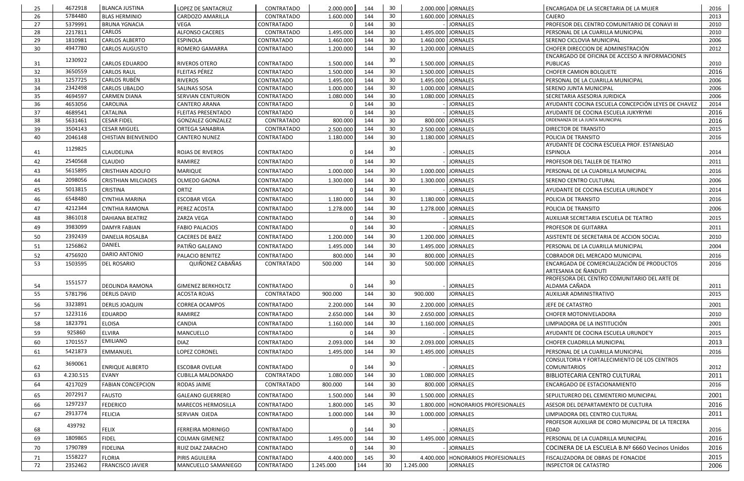| 25       | 4672918            | <b>BLANCA JUSTINA</b>                | LOPEZ DE SANTACRUZ                       | CONTRATADO               | 2.000.000              | 144        | 30       |           | 2.000.000 JORNALES                    | ENCARGADA DE LA SECRETARIA DE LA MUJER                              | 2016         |
|----------|--------------------|--------------------------------------|------------------------------------------|--------------------------|------------------------|------------|----------|-----------|---------------------------------------|---------------------------------------------------------------------|--------------|
| 26       | 5784480            | <b>BLAS HERMINIO</b>                 | CARDOZO AMARILLA                         | CONTRATADO               | 1.600.000              | 144        | 30       | 1.600.000 | <b>JORNALES</b>                       | <b>CAJERO</b>                                                       | 2013         |
| 27       | 5379991            | <b>BRUNA YGNACIA</b>                 | VEGA                                     | CONTRATADO               |                        | 144        | 30       |           | <b>JORNALES</b>                       | PROFESOR DEL CENTRO COMUNITARIO DE CONAVI III                       | 2010         |
| 28       | 2217811            | CARLOS                               | <b>ALFONSO CACERES</b>                   | CONTRATADO               | 1.495.000              | 144        | 30       | 1.495.000 | <b>JORNALES</b>                       | PERSONAL DE LA CUARILLA MUNICIPAL                                   | 2010         |
| 29       | 1810981            | <b>CARLOS ALBERTO</b>                | <b>ESPINOLA</b>                          | CONTRATADO               | 1.460.000              | 144        | 30       | 1.460.000 | <b>JORNALES</b>                       | SERENO CICLOVIA MUNICIPAL                                           | 2006         |
| 30       | 4947780            | <b>CARLOS AUGUSTO</b>                | <b>ROMERO GAMARRA</b>                    | CONTRATADO               | 1.200.000              | 144        | 30       |           | 1.200.000 JORNALES                    | CHOFER DIRECCION DE ADMINISTRACIÓN                                  | 2012         |
|          | 1230922            |                                      |                                          |                          |                        |            | 30       |           |                                       | ENCARGADO DE OFICINA DE ACCESO A INFORMACIONES                      |              |
| -31      |                    | CARLOS EDUARDO                       | RIVEROS OTERO                            | CONTRATADO               | 1.500.000              | 144        |          |           | 1.500.000 JORNALES                    | PUBLICAS                                                            | 2010         |
| 32       | 3650559            | <b>CARLOS RAUL</b>                   | FLEITAS PÉREZ                            | CONTRATADO               | 1.500.000              | 144        | 30       |           | 1.500.000 JORNALES                    | <b>CHOFER CAMION BOLQUETE</b>                                       | 2016         |
| 33       | 1257725            | <b>CARLOS RUBÉN</b>                  | <b>RIVEROS</b>                           | CONTRATADO               | 1.495.000              | 144        | 30       | 1.495.000 | <b>JORNALES</b>                       | PERSONAL DE LA CUARILLA MUNICIPAL                                   | 2006         |
| 34<br>35 | 2342498<br>4694597 | CARLOS UBALDO<br><b>CARMEN DIANA</b> | SALINAS SOSA<br><b>SERVIAN CENTURION</b> | CONTRATADO<br>CONTRATADO | 1.000.000<br>1.080.000 | 144<br>144 | 30<br>30 | 1.080.000 | 1.000.000 JORNALES<br><b>JORNALES</b> | SERENO JUNTA MUNICIPAL<br>SECRETARIA ASESORIA JURIDICA              | 2006<br>2006 |
| 36       | 4653056            | CAROLINA                             | <b>CANTERO ARANA</b>                     | CONTRATADO               |                        | 144        | 30       |           | <b>JORNALES</b>                       | AYUDANTE COCINA ESCUELA CONCEPCIÓN LEYES DE CHAVEZ                  | 2014         |
| 37       | 4689541            | CATALINA                             | <b>FLEITAS PRESENTADO</b>                | CONTRATADO               |                        | 144        | 30       |           | <b>JORNALES</b>                       | AYUDANTE DE COCINA ESCUELA JUKYRYMI                                 | 2016         |
| 38       | 5631461            | <b>CESAR FIDEL</b>                   | <b>GONZALEZ GONZALEZ</b>                 | <b>CONTRATADO</b>        | 800.000                | 144        | 30       | 800.000   | <b>JORNALES</b>                       | ORDENANZA DE LA JUNTA MUNICIPAL                                     | 2016         |
| 39       | 3504143            | <b>CESAR MIGUEL</b>                  | ORTEGA SANABRIA                          | CONTRATADO               | 2.500.000              | 144        | 30       | 2.500.000 | <b>JORNALES</b>                       | DIRECTOR DE TRANSITO                                                | 2015         |
| 40       | 2046148            | <b>CHISTIAN BIENVENIDO</b>           | <b>CANTERO NUNEZ</b>                     | CONTRATADO               | 1.180.000              | 144        | 30       |           | 1.180.000 JORNALES                    | POLICIA DE TRANSITO                                                 | 2016         |
|          |                    |                                      |                                          |                          |                        |            |          |           |                                       | AYUDANTE DE COCINA ESCUELA PROF. ESTANISLAO                         |              |
| 41       | 1129825            | <b>CLAUDELINA</b>                    | ROJAS DE RIVEROS                         | <b>CONTRATADO</b>        |                        | 144        | 30       |           | <b>JORNALES</b>                       | <b>ESPINOLA</b>                                                     | 2014         |
| 42       | 2540568            | <b>CLAUDIO</b>                       | RAMIREZ                                  | CONTRATADO               |                        | 144        | 30       |           | <b>JORNALES</b>                       | PROFESOR DEL TALLER DE TEATRO                                       | 2011         |
| 43       | 5615895            | <b>CRISTHIAN ADOLFO</b>              | <b>MARIQUE</b>                           | CONTRATADO               | 1.000.000              | 144        | 30       |           | 1.000.000 JORNALES                    | PERSONAL DE LA CUADRILLA MUNICIPAL                                  | 2016         |
| 44       | 2098056            |                                      |                                          |                          |                        | 144        | 30       |           | 1.300.000 JORNALES                    |                                                                     |              |
|          | 5013815            | <b>CRISTHIAN MILCIADES</b>           | OLMEDO GAONA                             | CONTRATADO               | 1.300.000              |            | 30       |           |                                       | SERENO CENTRO CULTURAL                                              | 2006         |
| 45       |                    | <b>CRISTINA</b>                      | ORTIZ                                    | CONTRATADO               |                        | 144        |          |           | <b>JORNALES</b>                       | AYUDANTE DE COCINA ESCUELA URUNDE'Y                                 | 2014         |
| 46       | 6548480            | <b>CYNTHIA MARINA</b>                | <b>ESCOBAR VEGA</b>                      | <b>CONTRATADO</b>        | 1.180.000              | 144        | 30       |           | 1.180.000 JORNALES                    | POLICIA DE TRANSITO                                                 | 2016         |
| 47       | 4212344            | <b>CYNTHIA RAMONA</b>                | PEREZ ACOSTA                             | <b>CONTRATADO</b>        | 1.278.000              | 144        | 30       |           | 1.278.000 JORNALES                    | POLICIA DE TRANSITO                                                 | 2006         |
| 48       | 3861018            | DAHIANA BEATRIZ                      | ZARZA VEGA                               | CONTRATADO               |                        | 144        | 30       |           | <b>JORNALES</b>                       | AUXILIAR SECRETARIA ESCUELA DE TEATRO                               | 2015         |
| 49       | 3983099            | <b>DAMYR FABIAN</b>                  | <b>FABIO PALACIOS</b>                    | CONTRATADO               |                        | 144        | 30       |           | <b>JORNALES</b>                       | PROFESOR DE GUITARRA                                                | 2011         |
| 50       | 2392439            | DANELIA ROSALBA                      | <b>CACERES DE BAEZ</b>                   | CONTRATADO               | 1.200.000              | 144        | 30       |           | 1.200.000 JORNALES                    | ASISTENTE DE SECRETARIA DE ACCION SOCIAL                            | 2010         |
| 51       | 1256862            | <b>DANIEL</b>                        | PATIÑO GALEANO                           | CONTRATADO               | 1.495.000              | 144        | 30       |           | 1.495.000 JORNALES                    | PERSONAL DE LA CUARILLA MUNICIPAL                                   | 2004         |
| 52       | 4756920            | DARIO ANTONIO                        | PALACIO BENITEZ                          | CONTRATADO               | 800.000                | 144        | 30       |           | 800.000 JORNALES                      | COBRADOR DEL MERCADO MUNICIPAL                                      | 2016         |
| 53       | 1503595            | <b>DEL ROSARIO</b>                   | QUIÑONEZ CABAÑAS                         | CONTRATADO               | 500.000                | 144        | 30       |           | 500.000 JORNALES                      | ENCARGADA DE COMERCIALIZACIÓN DE PRODUCTOS                          | 2016         |
|          |                    |                                      |                                          |                          |                        |            |          |           |                                       | ARTESANIA DE ÑANDUTI                                                |              |
|          | 1551577            |                                      |                                          |                          |                        |            |          |           |                                       | PROFESORA DEL CENTRO COMUNITARIO DEL ARTE DE                        |              |
| 54       |                    | DEOLINDA RAMONA                      | <b>GIMENEZ BERKHOLTZ</b>                 | CONTRATADO               |                        | 144        | 30       |           | <b>JORNALES</b>                       | ALDAMA CAÑADA                                                       | 2011         |
| 55       | 5781796            | <b>DERLIS DAVID</b>                  | <b>ACOSTA ROJAS</b>                      | CONTRATADO               | 900.000                | 144        | 30       | 900.000   | <b>JORNALES</b>                       | AUXILIAR ADMINISTRATIVO                                             | 2015         |
| 56       | 3323891            | <b>DERLIS JOAQUIN</b>                | <b>CORREA OCAMPOS</b>                    | CONTRATADO               | 2.200.000              | 144        | 30       |           | 2.200.000 JORNALES                    | JEFE DE CATASTRO                                                    | 2001         |
| 57       | 1223116            | <b>EDUARDO</b>                       | RAMIREZ                                  | CONTRATADO               | 2.650.000              | 144        | 30       |           | 2.650.000 JORNALES                    | <b>CHOFER MOTONIVELADORA</b>                                        | 2010         |
| 58       | 1823791            | <b>ELOISA</b>                        | CANDIA                                   | CONTRATADO               | 1.160.000              | 144        | 30       |           | 1.160.000 JORNALES                    | LIMPIADORA DE LA INSTITUCIÓN                                        | 2001         |
| 59       | 925860             | <b>ELVIRA</b>                        | MANCUELLO                                | CONTRATADO               |                        | 144        | 30       |           | <b>JORNALES</b>                       | AYUDANTE DE COCINA ESCUELA URUNDE'Y                                 | 2015         |
|          | 1701557            | <b>EMILIANO</b>                      |                                          |                          |                        |            | 30       |           |                                       |                                                                     | 2013         |
| 60       |                    |                                      | <b>DIAZ</b>                              | CONTRATADO               | 2.093.000              | 144        |          |           | 2.093.000 JORNALES                    | CHOFER CUADRILLA MUNICIPAL                                          |              |
| 61       | 5421873            | <b>EMMANUEL</b>                      | LOPEZ CORONEL                            | <b>CONTRATADO</b>        | 1.495.000              | 144        | 30       |           | 1.495.000 JORNALES                    | PERSONAL DE LA CUARILLA MUNICIPAL                                   | 2016         |
| 62       | 3690061            | <b>ENRIQUE ALBERTO</b>               | <b>ESCOBAR OVELAR</b>                    | CONTRATADO               |                        | 144        | 30       |           | <b>JORNALES</b>                       | CONSULTORIA Y FORTALECIMIENTO DE LOS CENTROS<br><b>COMUNITARIOS</b> | 2012         |
| 63       | 4.230.515          | <b>EVANY</b>                         | <b>CUBILLA MALDONADO</b>                 | CONTRATADO               | 1.080.000              | 144        | 30       | 1.080.000 | <b>JORNALES</b>                       | BIBLIOTECARIA CENTRO CULTURAL                                       | 2011         |
| 64       | 4217029            | <b>FABIAN CONCEPCION</b>             |                                          |                          | 800.000                | 144        | 30       |           | 800.000 JORNALES                      |                                                                     | 2016         |
|          |                    |                                      | RODAS JAIME                              | CONTRATADO               |                        |            |          |           |                                       | ENCARGADO DE ESTACIONAMIENTO                                        |              |
| 65       | 2072917            | <b>FAUSTO</b>                        | <b>GALEANO GUERRERO</b>                  | CONTRATADO               | 1.500.000              | 144        | 30       |           | 1.500.000 JORNALES                    | SEPULTURERO DEL CEMENTERIO MUNICIPAL                                | 2001         |
| 66       | 1297237            | <b>FEDERICO</b>                      | <b>MARECOS HERMOSILLA</b>                | CONTRATADO               | 1.800.000              | 145        | 30       |           | 1.800.000   HONORARIOS PROFESIONALES  | ASESOR DEL DEPARTAMENTO DE CULTURA                                  | 2016         |
| 67       | 2913774            | <b>FELICIA</b>                       | SERVIAN OJEDA                            | <b>CONTRATADO</b>        | 1.000.000              | 144        | 30       |           | 1.000.000 JORNALES                    | LIMPIADORA DEL CENTRO CULTURAL                                      | 2011         |
|          | 439792             |                                      |                                          |                          |                        |            | 30       |           |                                       | PROFESOR AUXILIAR DE CORO MUNICIPAL DE LA TERCERA                   |              |
| 68       |                    | <b>FELIX</b>                         | <b>FERREIRA MORINIGO</b>                 | <b>CONTRATADO</b>        |                        | 144        |          |           | <b>JORNALES</b>                       | EDAD                                                                | 2016         |
| 69       | 1809865            | <b>FIDEL</b>                         | <b>COLMAN GIMENEZ</b>                    | CONTRATADO               | 1.495.000              | 144        | 30       | 1.495.000 | <b>JORNALES</b>                       | PERSONAL DE LA CUADRILLA MUNICIPAL                                  | 2016         |
| 70       | 1790789            | <b>FIDELINA</b>                      | RUIZ DIAZ ZARACHO                        | CONTRATADO               |                        | 144        | 30       |           | <b>JORNALES</b>                       | COCINERA DE LA ESCUELA B.Nº 6660 Vecinos Unidos                     | 2016         |
| 71       | 1558227            | <b>FLORIA</b>                        | PIRIS AGUILERA                           | CONTRATADO               | 4.400.000              | 145        | 30       | 4.400.000 | HONORARIOS PROFESIONALES              | FISCALIZADORA DE OBRAS DE FONACIDE                                  | 2015         |
| 72       | 2352462            | <b>FRANCISCO JAVIER</b>              | MANCUELLO SAMANIEGO                      | CONTRATADO               | 1.245.000              | 144        | 30       | 1.245.000 | <b>JORNALES</b>                       | <b>INSPECTOR DE CATASTRO</b>                                        | 2006         |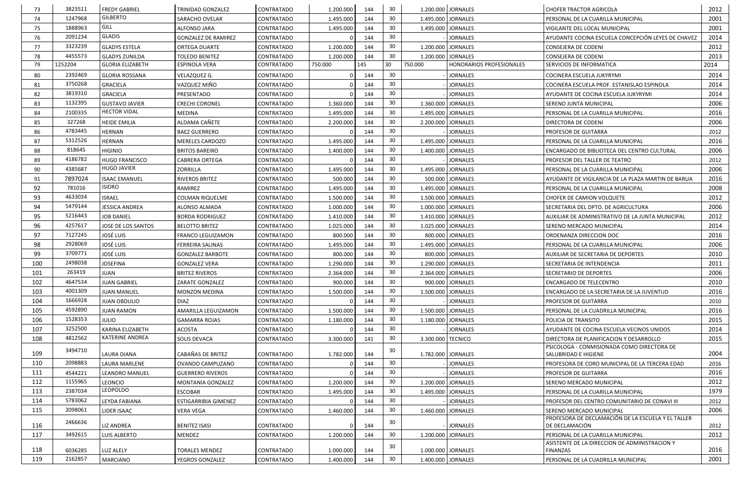| 73  | 3823511            | <b>FREDY GABRIEL</b>       | TRINIDAD GONZALEZ           | <b>CONTRATADO</b> | 1.200.000 | 144 | 30              |                   | 1.200.000 JORNALES       | <b>CHOFER TRACTOR AGRICOLA</b>                                                 | 2012 |
|-----|--------------------|----------------------------|-----------------------------|-------------------|-----------|-----|-----------------|-------------------|--------------------------|--------------------------------------------------------------------------------|------|
| 74  | 1247968            | <b>GILBERTO</b>            | SARACHO OVELAR              | <b>CONTRATADO</b> | 1.495.000 | 144 | 30              | 1.495.000         | <b>JORNALES</b>          | PERSONAL DE LA CUARILLA MUNICIPAL                                              | 2001 |
| 75  | 1888963            | GILL                       | ALFONSO JARA                | <b>CONTRATADO</b> | 1.495.000 | 144 | 30              | 1.495.000         | <b>JORNALES</b>          | VIGILANTE DEL LOCAL MUNICIPAL                                                  | 2001 |
| 76  | 2091234            | <b>GLADIS</b>              | <b>GONZALEZ DE RAMIREZ</b>  | CONTRATADO        |           | 144 | 30              |                   | <b>JORNALES</b>          | AYUDANTE COCINA ESCUELA CONCEPCIÓN LEYES DE CHAVEZ                             | 2014 |
| 77  | 3323239            | <b>GLADYS ESTELA</b>       | <b>ORTEGA DUARTE</b>        | <b>CONTRATADO</b> | 1.200.000 | 144 | 30              |                   | 1.200.000 JORNALES       | <b>CONSEJERA DE CODENI</b>                                                     | 2012 |
| 78  | 4455573            | <b>GLADYS ZUNILDA</b>      | <b>TOLEDO BENITEZ</b>       | <b>CONTRATADO</b> | 1.200.000 | 144 | 30              |                   | 1.200.000 JORNALES       | <b>CONSEJERA DE CODENI</b>                                                     | 2013 |
| 79  | 1252204            | <b>GLORIA ELIZABETH</b>    | <b>ESPINOLA VERA</b>        | CONTRATADO        | 750.000   | 145 | 30              | 750.000           | HONORARIOS PROFESIONALES | SERVICIOS DE INFORMATICA                                                       | 2014 |
| 80  | 2392469            | <b>GLORIA ROSSANA</b>      | VELAZQUEZ G.                | <b>CONTRATADO</b> |           | 144 | 30              |                   | <b>JORNALES</b>          | COCINERA ESCUELA JUKYRYMI                                                      | 2014 |
| 81  | 3750268            | <b>GRACIELA</b>            | VAZQUEZ MIÑO                | <b>CONTRATADO</b> |           | 144 | 30              |                   | <b>JORNALES</b>          | COCINERA ESCUELA PROF. ESTANISLAO ESPINOLA                                     | 2014 |
| 82  | 3819310            | <b>GRACIELA</b>            | PRESENTADO                  | <b>CONTRATADO</b> |           | 144 | 30              |                   | <b>JORNALES</b>          | AYUDANTE DE COCINA ESCUELA JUKYRYMI                                            | 2014 |
| 83  | 1132395            | <b>GUSTAVO JAVIER</b>      | <b>CRECHI CORONEL</b>       | <b>CONTRATADO</b> | 1.360.000 | 144 | 30              |                   | 1.360.000 JORNALES       | SERENO JUNTA MUNICIPAL                                                         | 2006 |
| 84  | 2100335            | <b>HECTOR VIDAL</b>        | <b>MEDINA</b>               | <b>CONTRATADO</b> | 1.495.000 | 144 | 30              |                   | 1.495.000 JORNALES       | PERSONAL DE LA CUARILLA MUNICIPAL                                              | 2016 |
| 85  | 327268             | <b>HEIDE EMILIA</b>        | ALDAMA CAÑETE               | <b>CONTRATADO</b> | 2.200.000 | 144 | 30              |                   | 2.200.000 JORNALES       | DIRECTORA DE CODENI                                                            | 2006 |
| 86  | 4783445            | <b>HERNAN</b>              | <b>BAEZ GUERRERO</b>        | <b>CONTRATADO</b> |           | 144 | 30              |                   | <b>JORNALES</b>          | PROFESOR DE GUITARRA                                                           | 2012 |
| 87  | 5312526            | <b>HERNAN</b>              | <b>MERELES CARDOZO</b>      | <b>CONTRATADO</b> | 1.495.000 | 144 | 30              | 1.495.000         | <b>JORNALES</b>          | PERSONAL DE LA CUARILLA MUNICIPAL                                              | 2016 |
| 88  | 818645             | <b>HIGINIO</b>             | <b>BRITOS BAREIRO</b>       | <b>CONTRATADO</b> | 1.400.000 | 144 | 30              |                   | 1.400.000 JORNALES       | ENCARGADO DE BIBLIOTECA DEL CENTRO CULTURAL                                    | 2006 |
| 89  | 4186782            | <b>HUGO FRANCISCO</b>      | <b>CABRERA ORTEGA</b>       | <b>CONTRATADO</b> |           | 144 | 30              |                   | <b>JORNALES</b>          | PROFESOR DEL TALLER DE TEATRO                                                  | 2012 |
| 90  | 4385687            | <b>HUGO JAVIER</b>         | <b>ZORRILLA</b>             | <b>CONTRATADO</b> | 1.495.000 | 144 | 30              |                   | 1.495.000 JORNALES       | PERSONAL DE LA CUARILLA MUNICIPAL                                              | 2006 |
| 91  | 7897024            | <b>ISAAC EMANUEL</b>       | <b>RIVEROS BRITEZ</b>       | <b>CONTRATADO</b> | 500.000   | 144 | 30              |                   | 500.000 JORNALES         | AYUDANTE DE VIGILANCIA DE LA PLAZA MARTIN DE BARUA                             | 2016 |
| 92  | 781016             | <b>ISIDRO</b>              | RAMIREZ                     | <b>CONTRATADO</b> | 1.495.000 | 144 | 30              |                   | 1.495.000 JORNALES       | PERSONAL DE LA CUARILLA MUNICIPAL                                              | 2008 |
| 93  | 4633034            | <b>ISRAEL</b>              | <b>COLMAN RIQUELME</b>      | <b>CONTRATADO</b> | 1.500.000 | 144 | 30              |                   | 1.500.000 JORNALES       | <b>CHOFER DE CAMION VOLQUETE</b>                                               | 2012 |
| 94  | 5479144            | JESSICA ANDREA             | <b>ALONSO ALMADA</b>        | <b>CONTRATADO</b> | 1.000.000 | 144 | 30              |                   | 1.000.000 JORNALES       | SECRETARIA DEL DPTO. DE AGRICULTURA                                            | 2006 |
| 95  | 5216443            | <b>JOB DANIEL</b>          | <b>BORDA RODRIGUEZ</b>      | <b>CONTRATADO</b> | 1.410.000 | 144 | 30              |                   | 1.410.000 JORNALES       | AUXILIAR DE ADMINISTRATIVO DE LA JUNTA MUNICIPAL                               | 2012 |
| 96  | 4257617            | JOSE DE LOS SANTOS         | <b>BELOTTO BRITEZ</b>       | <b>CONTRATADO</b> | 1.025.000 | 144 | 30              |                   | 1.025.000 JORNALES       | SERENO MERCADO MUNICIPAL                                                       | 2014 |
| 97  | 7127245            | <b>JOSÉ LUIS</b>           | <b>FRANCO LEGUIZAMON</b>    | <b>CONTRATADO</b> | 800.000   | 144 | 30              |                   | 800.000 JORNALES         | ORDENANZA DIRECCION DOC                                                        | 2016 |
| 98  | 2928069            | <b>JOSÉ LUIS</b>           | <b>FERREIRA SALINAS</b>     | <b>CONTRATADO</b> | 1.495.000 | 144 | 30              |                   | 1.495.000 JORNALES       | PERSONAL DE LA CUARILLA MUNICIPAL                                              | 2006 |
| 99  | 3709771            | <b>JOSÉ LUIS</b>           | <b>GONZALEZ BARBOTE</b>     | <b>CONTRATADO</b> | 800.000   | 144 | 30              |                   | 800.000 JORNALES         | AUXILIAR DE SECRETARIA DE DEPORTES                                             | 2010 |
| 100 | 2498038            | <b>JOSEFINA</b>            | <b>GONZALEZ VERA</b>        | CONTRATADO        | 1.290.000 | 144 | 30              | 1.290.000         | <b>JORNALES</b>          | SECRETARIA DE INTENDENCIA                                                      | 2011 |
| 101 | 263419             | JUAN                       | <b>BRITEZ RIVEROS</b>       | <b>CONTRATADO</b> | 2.364.000 | 144 | 30              |                   | 2.364.000 JORNALES       | SECRETARIO DE DEPORTES                                                         | 2006 |
| 102 | 4647534            | <b>JUAN GABRIEL</b>        | ZARATE GONZALEZ             | <b>CONTRATADO</b> | 900.000   | 144 | 30              |                   | 900.000 JORNALES         | <b>ENCARGADO DE TELECENTRO</b>                                                 | 2010 |
| 103 | 4001309            | <b>JUAN MANUEL</b>         | <b>MONZON MEDINA</b>        | <b>CONTRATADO</b> | 1.500.000 | 144 | 30              |                   | 1.500.000 JORNALES       | ENCARGADO DE LA SECRETARIA DE LA JUVENTUD                                      | 2016 |
| 104 | 1666928            | <b>JUAN OBDULIO</b>        | <b>DIAZ</b>                 | <b>CONTRATADO</b> |           | 144 | 30              |                   | <b>JORNALES</b>          | PROFESOR DE GUITARRA                                                           | 2010 |
| 105 | 4592890            | <b>JUAN RAMON</b>          | AMARILLA LEGUIZAMON         | <b>CONTRATADO</b> | 1.500.000 | 144 | 30              |                   | 1.500.000 JORNALES       | PERSONAL DE LA CUADRILLA MUNICIPAL                                             | 2016 |
| 106 | 1528353            | <b>JULIO</b>               | <b>GAMARRA ROJAS</b>        | CONTRATADO        | 1.180.000 | 144 | 30              |                   | 1.180.000 JORNALES       | POLICIA DE TRANSITO                                                            | 2015 |
| 107 | 3252500            | KARINA ELIZABETH           | <b>ACOSTA</b>               | <b>CONTRATADO</b> |           | 144 | 30              |                   | <b>JORNALES</b>          | AYUDANTE DE COCINA ESCUELA VECINOS UNIDOS                                      | 2014 |
| 108 | 4812562            | <b>KATERINE ANDREA</b>     | SOLIS DEVACA                | <b>CONTRATADO</b> | 3.300.000 | 141 | 30              | 3.300.000 TECNICO |                          | DIRECTORA DE PLANIFICACION Y DESARROLLO                                        | 2015 |
|     | 3494710            |                            |                             |                   |           |     | 30              |                   |                          | PSICOLOGA - CONMISIONADA COMO DIRECTORA DE                                     |      |
| 109 |                    | LAURA DIANA                | CABAÑAS DE BRITEZ           | <b>CONTRATADO</b> | 1.782.000 | 144 |                 |                   | 1.782.000 JORNALES       | <b>SALUBRIDAD E HIGIENE</b>                                                    | 2004 |
| 110 | 2098883            | LAURA MARLENE              | OVANDO CAMPUZANO            | <b>CONTRATADO</b> |           | 144 | 30<br>30        |                   | <b>JORNALES</b>          | PROFESORA DE CORO MUNICIPAL DE LA TERCERA EDAD                                 | 2016 |
| 111 | 4544221<br>1155965 | <b>LEANDRO MANUEL</b>      | <b>GUERRERO RIVEROS</b>     | <b>CONTRATADO</b> |           | 144 | 30              |                   | <b>JORNALES</b>          | <b>PROFESOR DE GUITARRA</b>                                                    | 2016 |
| 112 |                    | <b>LEONCIO</b><br>LEOPOLDO | MONTANIA GONZALEZ           | <b>CONTRATADO</b> | 1.200.000 | 144 |                 |                   | 1.200.000 JORNALES       | SERENO MERCADO MUNICIPAL                                                       | 2012 |
| 113 | 2387034            |                            | ESCOBAR                     | CONTRATADO        | 1.495.000 | 144 | 30              |                   | 1.495.000 JORNALES       | PERSONAL DE LA CUARILLA MUNICIPAL                                              | 1979 |
| 114 | 5783062            | LEYDA FABIANA              | <b>ESTIGARRIBIA GIMENEZ</b> | <b>CONTRATADO</b> |           | 144 | 30              |                   | <b>JORNALES</b>          | PROFESOR DEL CENTRO COMUNITARIO DE CONAVI III                                  | 2012 |
| 115 | 2098061            | LIDER ISAAC                | <b>VERA VEGA</b>            | <b>CONTRATADO</b> | 1.460.000 | 144 | 30              |                   | 1.460.000 JORNALES       | SERENO MERCADO MUNICIPAL<br>PROFESORA DE DECLAMACIÓN DE LA ESCUELA Y EL TALLER | 2006 |
| 116 | 2466636            | <b>LIZ ANDREA</b>          | <b>BENITEZ ISASI</b>        | <b>CONTRATADO</b> |           | 144 | 30              |                   | <b>JORNALES</b>          | DE DECLAMACIÓN                                                                 | 2012 |
| 117 | 3492615            | <b>LUIS ALBERTO</b>        | MENDEZ                      | <b>CONTRATADO</b> | 1.200.000 | 144 | 30 <sup>°</sup> |                   | 1.200.000 JORNALES       | PERSONAL DE LA CUARILLA MUNICIPAL                                              | 2012 |
|     |                    |                            |                             |                   |           |     | 30              |                   |                          | ASISTENTE DE LA DIRECCION DE ADMINISTRACION Y                                  |      |
| 118 | 6036285            | LUZ ALELY                  | <b>TORALES MENDEZ</b>       | <b>CONTRATADO</b> | 1.000.000 | 144 |                 |                   | 1.000.000 JORNALES       | <b>FINANZAS</b>                                                                | 2016 |
| 119 | 2162857            | <b>MARCIANO</b>            | YEGROS GONZALEZ             | <b>CONTRATADO</b> | 1.400.000 | 144 | 30              |                   | 1.400.000 JORNALES       | PERSONAL DE LA CUADRILLA MUNICIPAL                                             | 2001 |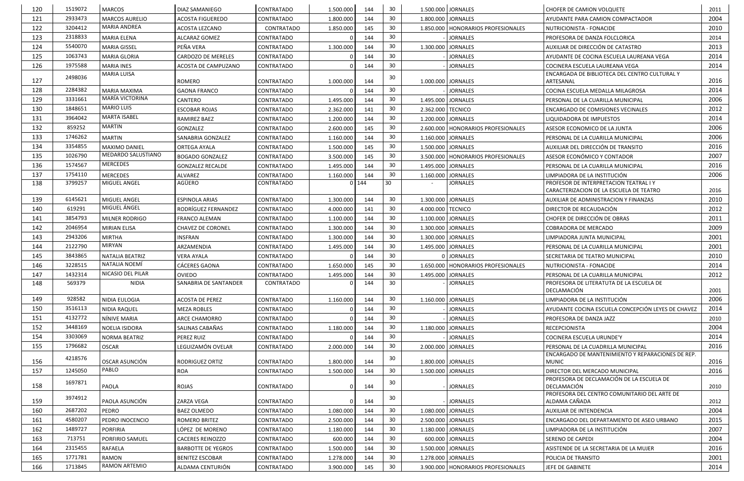| 120 | 1519072 | <b>MARCOS</b>           | <b>DIAZ SAMANIEGO</b>     | CONTRATADO        | 1.500.000 | 144     | 30              |                   | 1.500.000 JORNALES                   | <b>CHOFER DE CAMION VOLQUETE</b>                                                  | 2011 |
|-----|---------|-------------------------|---------------------------|-------------------|-----------|---------|-----------------|-------------------|--------------------------------------|-----------------------------------------------------------------------------------|------|
| 121 | 2933473 | <b>MARCOS AURELIO</b>   | <b>ACOSTA FIGUEREDO</b>   | CONTRATADO        | 1.800.000 | 144     | 30              |                   | 1.800.000 JORNALES                   | AYUDANTE PARA CAMION COMPACTADOR                                                  | 2004 |
| 122 | 3204412 | <b>MARIA ANDREA</b>     | ACOSTA LEZCANO            | CONTRATADO        | 1.850.000 | 145     | 30              |                   | 1.850.000   HONORARIOS PROFESIONALES | NUTRICIONISTA - FONACIDE                                                          | 2010 |
| 123 | 2318833 | <b>MARIA ELENA</b>      | ALCARAZ GOMEZ             | CONTRATADO        |           | 144     | 30              |                   | <b>JORNALES</b>                      | PROFESORA DE DANZA FOLCLORICA                                                     | 2014 |
| 124 | 5540070 | <b>MARIA GISSEL</b>     | PEÑA VERA                 | CONTRATADO        | 1.300.000 | 144     | 30              |                   | 1.300.000 JORNALES                   | AUXILIAR DE DIRECCIÓN DE CATASTRO                                                 | 2013 |
| 125 | 1063743 | <b>MARIA GLORIA</b>     | <b>CARDOZO DE MERELES</b> | CONTRATADO        |           | 144     | 30              |                   | <b>JORNALES</b>                      | AYUDANTE DE COCINA ESCUELA LAUREANA VEGA                                          | 2014 |
| 126 | 1975588 | <b>MARIA INES</b>       | ACOSTA DE CAMPUZANO       | CONTRATADO        |           | 144     | 30              |                   | <b>JORNALES</b>                      | COCINERA ESCUELA LAUREANA VEGA                                                    | 2014 |
| 127 | 2498036 | MARIA LUISA             | <b>ROMERO</b>             | CONTRATADO        | 1.000.000 | 144     | 30              |                   | 1.000.000 JORNALES                   | ENCARGADA DE BIBLIOTECA DEL CENTRO CULTURAL Y<br>ARTESANAL                        | 2016 |
| 128 | 2284382 | <b>MARIA MAXIMA</b>     | <b>GAONA FRANCO</b>       | CONTRATADO        |           | 144     | 30              |                   | <b>JORNALES</b>                      | COCINA ESCUELA MEDALLA MILAGROSA                                                  | 2014 |
| 129 | 3331661 | MARÍA VICTORINA         | CANTERO                   | CONTRATADO        | 1.495.000 | 144     | 30              |                   | 1.495.000 JORNALES                   | PERSONAL DE LA CUARILLA MUNICIPAL                                                 | 2006 |
| 130 | 1848651 | <b>MARIO LUIS</b>       | <b>ESCOBAR ROJAS</b>      | CONTRATADO        | 2.362.000 | 141     | 30              | 2.362.000 TECNICO |                                      | ENCARGADO DE COMISIONES VECINALES                                                 | 2012 |
| 131 | 3964042 | <b>MARTA ISABEL</b>     | RAMIREZ BAEZ              | CONTRATADO        | 1.200.000 | 144     | 30              |                   | 1.200.000 JORNALES                   | LIQUIDADORA DE IMPUESTOS                                                          | 2014 |
| 132 | 859252  | <b>MARTIN</b>           | GONZALEZ                  | CONTRATADO        | 2.600.000 | 145     | 30              |                   | 2.600.000   HONORARIOS PROFESIONALES | ASESOR ECONOMICO DE LA JUNTA                                                      | 2006 |
| 133 | 1746262 | <b>MARTIN</b>           | SANABRIA GONZALEZ         | CONTRATADO        | 1.160.000 | 144     | 30              |                   | 1.160.000 JORNALES                   | PERSONAL DE LA CUARILLA MUNICIPAL                                                 | 2006 |
| 134 | 3354855 | <b>MAXIMO DANIEL</b>    | ORTEGA AYALA              | CONTRATADO        | 1.500.000 | 145     | 30              |                   | 1.500.000 JORNALES                   | AUXILIAR DEL DIRECCIÓN DE TRANSITO                                                | 2016 |
| 135 | 1026790 | MEDARDO SALUSTIANO      | <b>BOGADO GONZALEZ</b>    | CONTRATADO        | 3.500.000 | 145     | 30              |                   | 3.500.000   HONORARIOS PROFESIONALES | ASESOR ECONÓMICO Y CONTADOR                                                       | 2007 |
| 136 | 1574567 | <b>MERCEDES</b>         | <b>GONZALEZ RECALDE</b>   | CONTRATADO        | 1.495.000 | 144     | 30 <sup>°</sup> |                   | 1.495.000 JORNALES                   | PERSONAL DE LA CUARILLA MUNICIPAL                                                 | 2016 |
| 137 | 1754110 | <b>MERCEDES</b>         | <b>ALVAREZ</b>            | CONTRATADO        | 1.160.000 | 144     | 30              |                   | 1.160.000 JORNALES                   | LIMPIADORA DE LA INSTITUCIÓN                                                      | 2006 |
| 138 | 3799257 | MIGUEL ANGEL            | AGÜERO                    | CONTRATADO        |           | $0$ 144 | 30              |                   | <b>JORNALES</b>                      | PROFESOR DE INTERPRETACION TEATRAL I Y<br>CARACTERIZACION DE LA ESCUELA DE TEATRO | 2016 |
| 139 | 6145621 | MIGUEL ANGEL            | ESPINOLA ARIAS            | CONTRATADO        | 1.300.000 | 144     | 30              |                   | 1.300.000 JORNALES                   | AUXILIAR DE ADMINISTRACION Y FINANZAS                                             | 2010 |
| 140 | 619291  | MIGUEL ÁNGEL            | RODRÍGUEZ FERNANDEZ       | CONTRATADO        | 4.000.000 | 141     | 30              | 4.000.000 TECNICO |                                      | DIRECTOR DE RECAUDACIÓN                                                           | 2012 |
| 141 | 3854793 | MILNER RODRIGO          | <b>FRANCO ALEMAN</b>      | CONTRATADO        | 1.100.000 | 144     | 30              |                   | 1.100.000 JORNALES                   | CHOFER DE DIRECCIÓN DE OBRAS                                                      | 2011 |
| 142 | 2046954 | <b>MIRIAN ELISA</b>     | <b>CHAVEZ DE CORONEL</b>  | CONTRATADO        | 1.300.000 | 144     | 30              |                   | 1.300.000 JORNALES                   | COBRADORA DE MERCADO                                                              | 2009 |
| 143 | 2943206 | <b>MIRTHA</b>           | <b>INSFRAN</b>            | CONTRATADO        | 1.300.000 | 144     | 30              |                   | 1.300.000 JORNALES                   | LIMPIADORA JUNTA MUNICIPAL                                                        | 2001 |
| 144 | 2122790 | <b>MIRYAN</b>           | ARZAMENDIA                | CONTRATADO        | 1.495.000 | 144     | 30              |                   | 1.495.000 JORNALES                   | PERSONAL DE LA CUARILLA MUNICIPAL                                                 | 2001 |
| 145 | 3843865 | <b>NATALIA BEATRIZ</b>  | <b>VERA AYALA</b>         | CONTRATADO        |           | 144     | 30              |                   | 0 JORNALES                           | SECRETARIA DE TEATRO MUNICIPAL                                                    | 2010 |
| 146 | 3228515 | NATALIA NOEMÍ           | <b>CÁCERES GAONA</b>      | CONTRATADO        | 1.650.000 | 145     | 30              |                   | 1.650.000   HONORARIOS PROFESIONALES | NUTRICIONISTA - FONACIDE                                                          | 2014 |
| 147 | 1432314 | NICASIO DEL PILAR       | OVIEDO                    | CONTRATADO        | 1.495.000 | 144     | 30              |                   | 1.495.000 JORNALES                   | PERSONAL DE LA CUARILLA MUNICIPAL                                                 | 2012 |
| 148 | 569379  | <b>NIDIA</b>            | SANABRIA DE SANTANDER     | <b>CONTRATADO</b> |           | 144     | 30              |                   | <b>JORNALES</b>                      | PROFESORA DE LITERATUTA DE LA ESCUELA DE<br>DECLAMACIÓN                           | 2001 |
| 149 | 928582  | NIDIA EULOGIA           | <b>ACOSTA DE PEREZ</b>    | CONTRATADO        | 1.160.000 | 144     | 30              |                   | 1.160.000 JORNALES                   | LIMPIADORA DE LA INSTITUCIÓN                                                      | 2006 |
| 150 | 3516113 | <b>NIDIA RAQUEL</b>     | <b>MEZA ROBLES</b>        | CONTRATADO        |           | 144     | 30              |                   | <b>JORNALES</b>                      | AYUDANTE COCINA ESCUELA CONCEPCIÓN LEYES DE CHAVEZ                                | 2014 |
| 151 | 4132772 | NÍNIVE MARIA            | ARCE CHAMORRO             | CONTRATADO        |           | 144     | 30              |                   | <b>JORNALES</b>                      | PROFESORA DE DANZA JAZZ                                                           | 2010 |
| 152 | 3448169 | NOELIA ISIDORA          | SALINAS CABAÑAS           | CONTRATADO        | 1.180.000 | 144     | 30              |                   | 1.180.000 JORNALES                   | RECEPCIONISTA                                                                     | 2004 |
| 154 | 3303069 | <b>NORMA BEATRIZ</b>    | PEREZ RUIZ                | CONTRATADO        |           | 144     | 30              |                   | <b>JORNALES</b>                      | COCINERA ESCUELA URUNDE'Y                                                         | 2014 |
| 155 | 1796682 | <b>OSCAR</b>            | LEGUIZAMÓN OVELAR         | CONTRATADO        | 2.000.000 | 144     | 30              |                   | 2.000.000 JORNALES                   | PERSONAL DE LA CUADRILLA MUNICIPAL                                                | 2016 |
|     | 4218576 |                         |                           |                   |           |         | 30              |                   |                                      | ENCARGADO DE MANTENIMIENTO Y REPARACIONES DE REP.                                 |      |
| 156 |         | OSCAR ASUNCIÓN<br>PABLO | RODRIGUEZ ORTIZ           | CONTRATADO        | 1.800.000 | 144     |                 |                   | 1.800.000 JORNALES                   | <b>MUNIC</b>                                                                      | 2016 |
| 157 | 1245050 |                         | <b>ROA</b>                | CONTRATADO        | 1.500.000 | 144     | 30              |                   | 1.500.000 JORNALES                   | DIRECTOR DEL MERCADO MUNICIPAL<br>PROFESORA DE DECLAMACIÓN DE LA ESCUELA DE       | 2016 |
| 158 | 1697871 | PAOLA                   | ROJAS                     | CONTRATADO        |           | 144     | 30              |                   | <b>JORNALES</b>                      | DECLAMACIÓN                                                                       | 2010 |
| 159 | 3974912 | PAOLA ASUNCIÓN          | ZARZA VEGA                | CONTRATADO        |           | 144     | 30              |                   | <b>JORNALES</b>                      | PROFESORA DEL CENTRO COMUNITARIO DEL ARTE DE<br>ALDAMA CAÑADA                     | 2012 |
| 160 | 2687202 | PEDRO                   | <b>BAEZ OLMEDO</b>        | CONTRATADO        | 1.080.000 | 144     | 30              |                   | 1.080.000 JORNALES                   | AUXILIAR DE INTENDENCIA                                                           | 2004 |
| 161 | 4580207 | PEDRO INOCENCIO         | ROMERO BRITEZ             | CONTRATADO        | 2.500.000 | 144     | 30              |                   | 2.500.000 JORNALES                   | ENCARGADO DEL DEPARTAMENTO DE ASEO URBANO                                         | 2015 |
| 162 | 1489727 | PORFIRIA                | LÓPEZ DE MORENO           | CONTRATADO        | 1.180.000 | 144     | 30              |                   | 1.180.000 JORNALES                   | LIMPIADORA DE LA INSTITUCIÓN                                                      | 2007 |
| 163 | 713751  | PORFIRIO SAMUEL         | <b>CACERES REINOZZO</b>   | CONTRATADO        | 600.000   | 144     | 30              |                   | 600.000 JORNALES                     | SERENO DE CAPEDI                                                                  | 2004 |
| 164 | 2315455 | RAFAELA                 | <b>BARBOTTE DE YEGROS</b> | CONTRATADO        | 1.500.000 | 144     | 30              |                   | 1.500.000 JORNALES                   | ASISTENDE DE LA SECRETARIA DE LA MUJER                                            | 2016 |
| 165 | 1771781 | RAMON                   | <b>BENITEZ ESCOBAR</b>    | CONTRATADO        | 1.278.000 | 144     | 30              |                   | 1.278.000 JORNALES                   | POLICIA DE TRANSITO                                                               | 2001 |
| 166 | 1713845 | RAMON ARTEMIO           | ALDAMA CENTURIÓN          | <b>CONTRATADO</b> | 3.900.000 | 145     | 30              |                   | 3.900.000   HONORARIOS PROFESIONALES | JEFE DE GABINETE                                                                  | 2014 |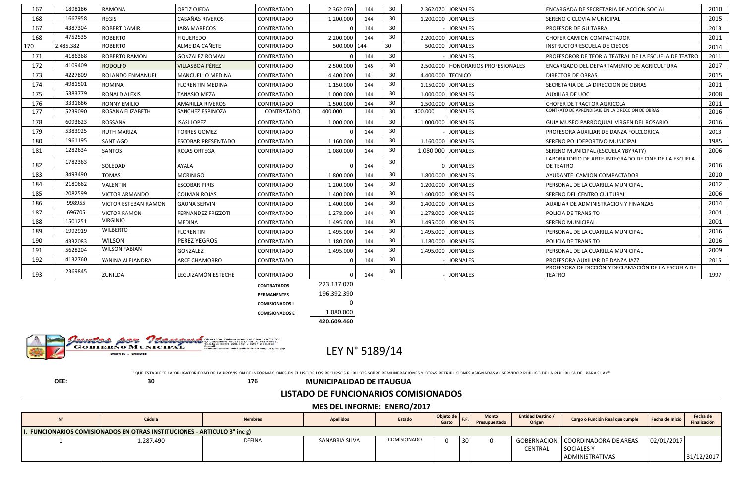| 167 | 1898186   | <b>RAMONA</b>               | <b>ORTIZ OJEDA</b>        | <b>CONTRATADO</b>     | 2.362.070   | 144 | 30 |                    | 2.362.070 JORNALES                 | ENCARGADA DE SECRETARIA DE ACCION SOCIAL                         | 2010 |
|-----|-----------|-----------------------------|---------------------------|-----------------------|-------------|-----|----|--------------------|------------------------------------|------------------------------------------------------------------|------|
| 168 | 1667958   | <b>REGIS</b>                | <b>CABAÑAS RIVEROS</b>    | CONTRATADO            | 1.200.000   | 144 | 30 |                    | 1.200.000 JORNALES                 | SERENO CICLOVIA MUNICIPAL                                        | 2015 |
| 167 | 4387304   | <b>ROBERT DAMIR</b>         | <b>JARA MARECOS</b>       | CONTRATADO            |             | 144 | 30 |                    | <b>JORNALES</b>                    | <b>PROFESOR DE GUITARRA</b>                                      | 2013 |
| 168 | 4752535   | <b>ROBERTO</b>              | <b>FIGUEREDO</b>          | <b>CONTRATADO</b>     | 2.200.000   | 144 | 30 |                    | 2.200.000 JORNALES                 | <b>CHOFER CAMION COMPACTADOR</b>                                 | 2011 |
| 170 | 2.485.382 | <b>ROBERTO</b>              | ALMEIDA CAÑETE            | <b>CONTRATADO</b>     | 500.000 144 |     | 30 |                    | 500.000 JORNALES                   | <b>INSTRUCTOR ESCUELA DE CIEGOS</b>                              | 2014 |
| 171 | 4186368   | <b>ROBERTO RAMON</b>        | <b>GONZALEZ ROMAN</b>     | <b>CONTRATADO</b>     |             | 144 | 30 |                    | <b>JORNALES</b>                    | PROFESOROR DE TEORIA TEATRAL DE LA ESCUELA DE TEATRO             | 2011 |
| 172 | 4109409   | <b>RODOLFO</b>              | <b>VILLASBOA PÉREZ</b>    | CONTRATADO            | 2.500.000   | 145 | 30 |                    | 2.500.000 HONORARIOS PROFESIONALES | ENCARGADO DEL DEPARTAMENTO DE AGRICULTURA                        | 2017 |
| 173 | 4227809   | ROLANDO ENMANUEL            | <b>MANCUELLO MEDINA</b>   | <b>CONTRATADO</b>     | 4.400.000   | 141 | 30 | 4.400.000 TECNICO  |                                    | DIRECTOR DE OBRAS                                                | 2015 |
| 174 | 4981501   | <b>ROMINA</b>               | <b>FLORENTIN MEDINA</b>   | <b>CONTRATADO</b>     | 1.150.000   | 144 | 30 |                    | 1.150.000 JORNALES                 | SECRETARIA DE LA DIRECCION DE OBRAS                              | 2011 |
| 175 | 5383779   | RONALD ALEXIS               | <b>TANASIO MEZA</b>       | <b>CONTRATADO</b>     | 1.000.000   | 144 | 30 |                    | 1.000.000 JORNALES                 | <b>AUXILIAR DE UOC</b>                                           | 2008 |
| 176 | 3331686   | <b>RONNY EMILIO</b>         | <b>AMARILLA RIVEROS</b>   | CONTRATADO            | 1.500.000   | 144 | 30 |                    | 1.500.000 JORNALES                 | <b>CHOFER DE TRACTOR AGRICOLA</b>                                | 2011 |
| 177 | 5239090   | ROSANA ELIZABETH            | SANCHEZ ESPINOZA          | CONTRATADO            | 400.000     | 144 | 30 | 400.000            | <b>JORNALES</b>                    | CONTRATO DE APRENDISAJE EN LA DIRECCIÓN DE OBRAS                 | 2016 |
| 178 | 6093623   | ROSSANA                     | <b>ISASI LOPEZ</b>        | CONTRATADO            | 1.000.000   | 144 | 30 |                    | 1.000.000 JORNALES                 | GUIA MUSEO PARROQUIAL VIRGEN DEL ROSARIO                         | 2016 |
| 179 | 5383925   | <b>RUTH MARIZA</b>          | <b>TORRES GOMEZ</b>       | CONTRATADO            |             | 144 | 30 |                    | <b>JORNALES</b>                    | PROFESORA AUXILIAR DE DANZA FOLCLORICA                           | 2013 |
| 180 | 1961195   | <b>SANTIAGO</b>             | <b>ESCOBAR PRESENTADO</b> | CONTRATADO            | 1.160.000   | 144 | 30 |                    | 1.160.000 JORNALES                 | SERENO POLIDEPORTIVO MUNICIPAL                                   | 1985 |
| 181 | 1282634   | <b>SANTOS</b>               | <b>ROJAS ORTEGA</b>       | CONTRATADO            | 1.080.000   | 144 | 30 | 1.080.000 JORNALES |                                    | SERENO MUNICIPAL (ESCUELA YBYRATY)                               | 2006 |
| 182 | 1782363   | SOLEDAD                     | AYALA                     | CONTRATADO            |             | 144 | 30 |                    | 0 JORNALES                         | LABORATORIO DE ARTE INTEGRADO DE CINE DE LA ESCUELA<br>DE TEATRO | 2016 |
| 183 | 3493490   | <b>TOMAS</b>                | <b>MORINIGO</b>           | <b>CONTRATADO</b>     | 1.800.000   | 144 | 30 |                    | 1.800.000 JORNALES                 | AYUDANTE CAMION COMPACTADOR                                      | 2010 |
| 184 | 2180662   | VALENTIN                    | <b>ESCOBAR PIRIS</b>      | CONTRATADO            | 1.200.000   | 144 | 30 |                    | 1.200.000 JORNALES                 | PERSONAL DE LA CUARILLA MUNICIPAL                                | 2012 |
| 185 | 2082599   | <b>VICTOR ARMANDO</b>       | <b>COLMAN ROJAS</b>       | CONTRATADO            | 1.400.000   | 144 | 30 |                    | 1.400.000 JORNALES                 | SERENO DEL CENTRO CULTURAL                                       | 2006 |
| 186 | 998955    | <b>VICTOR ESTEBAN RAMON</b> | <b>GAONA SERVIN</b>       | CONTRATADO            | 1.400.000   | 144 | 30 |                    | 1.400.000 JORNALES                 | AUXILIAR DE ADMINISTRACION Y FINANZAS                            | 2014 |
| 187 | 696705    | <b>VICTOR RAMON</b>         | <b>FERNANDEZ FRIZZOTI</b> | <b>CONTRATADO</b>     | 1.278.000   | 144 | 30 |                    | 1.278.000 JORNALES                 | POLICIA DE TRANSITO                                              | 2001 |
| 188 | 1501251   | <b>VIRGINIO</b>             | <b>MEDINA</b>             | CONTRATADO            | 1.495.000   | 144 | 30 |                    | 1.495.000 JORNALES                 | <b>SERENO MUNICIPAL</b>                                          | 2001 |
| 189 | 1992919   | <b>WILBERTO</b>             | <b>FLORENTIN</b>          | <b>CONTRATADO</b>     | 1.495.000   | 144 | 30 |                    | 1.495.000 JORNALES                 | PERSONAL DE LA CUARILLA MUNICIPAL                                | 2016 |
| 190 | 4332083   | <b>WILSON</b>               | PEREZ YEGROS              | CONTRATADO            | 1.180.000   | 144 | 30 |                    | 1.180.000 JORNALES                 | POLICIA DE TRANSITO                                              | 2016 |
| 191 | 5628204   | <b>WILSON FABIAN</b>        | GONZALEZ                  | <b>CONTRATADO</b>     | 1.495.000   | 144 | 30 |                    | 1.495.000 JORNALES                 | PERSONAL DE LA CUARILLA MUNICIPAL                                | 2009 |
| 192 | 4132760   | YANINA ALEJANDRA            | <b>ARCE CHAMORRO</b>      | <b>CONTRATADO</b>     |             | 144 | 30 |                    | <b>JORNALES</b>                    | PROFESORA AUXILIAR DE DANZA JAZZ                                 | 2015 |
| 193 | 2369845   | ZUNILDA                     | LEGUIZAMÓN ESTECHE        | <b>CONTRATADO</b>     |             | 144 | 30 |                    | <b>JORNALES</b>                    | PROFESORA DE DICCIÓN Y DECLAMACIÓN DE LA ESCUELA DE<br>TEATRO    | 1997 |
|     |           |                             |                           | <b>CONTRATADOS</b>    | 223.137.070 |     |    |                    |                                    |                                                                  |      |
|     |           |                             |                           | <b>PERMANENTES</b>    | 196.392.390 |     |    |                    |                                    |                                                                  |      |
|     |           |                             |                           | <b>COMISIONADOS I</b> |             |     |    |                    |                                    |                                                                  |      |

N° 170<br>rtínez.<br>),358 ass ava **GOBIERNO MUNICIPAL** 

2015 - 2020

**COMISIONADOS E** 1.080.000

**420.609.460**

LEY N° 5189/14

"QUE ESTABLECE LA OBLIGATORIEDAD DE LA PROVISIÓN DE INFORMACIONES EN EL USO DE LOS RECURSOS PÚBLICOS SOBRE REMUNERACIONES Y OTRAS RETRIBUCIONES ASIGNADAS AL SERVIDOR PÚBLICO DE LA REPÚBLICA DEL PARAGUAY"

**OEE: 30 176 MUNICIPALIDAD DE ITAUGUA**

## **LISTADO DE FUNCIONARIOS COMISIONADOS**

## **MES DEL INFORME: ENERO/2017**

|                                                                         | Cédula    | <b>Nombres</b> | <b>Apellidos</b> | Estado             | Objeto de<br>Gasto | F.F. | <b>Monto</b><br>Presupuestado | <b>Entidad Destino /</b><br>Origen | Cargo o Función Real que cumple                       | Fecha de Inicio | Fecha de<br>Finalización |  |  |
|-------------------------------------------------------------------------|-----------|----------------|------------------|--------------------|--------------------|------|-------------------------------|------------------------------------|-------------------------------------------------------|-----------------|--------------------------|--|--|
| . FUNCIONARIOS COMISIONADOS EN OTRAS INSTITUCIONES - ARTICULO 3° inc g) |           |                |                  |                    |                    |      |                               |                                    |                                                       |                 |                          |  |  |
|                                                                         | 1.287.490 | <b>DEFINA</b>  | SANABRIA SILVA   | <b>COMISIONADO</b> |                    | 30   |                               | <b>CENTRAL</b>                     | GOBERNACION COORDINADORA DE AREAS<br><b>SOCIALESY</b> | 02/01/2017      |                          |  |  |
|                                                                         |           |                |                  |                    |                    |      |                               |                                    | <b>ADMINISTRATIVAS</b>                                |                 | 31/12/2017               |  |  |